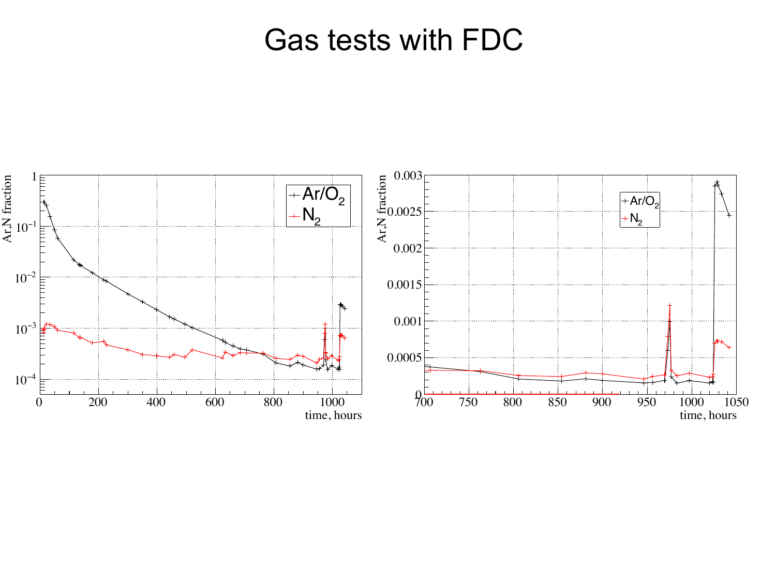#### Gas tests with FDC

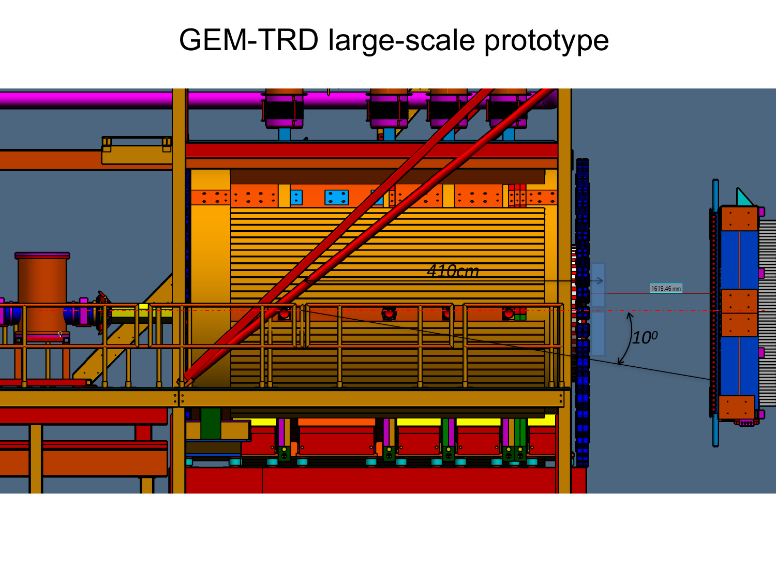# GEM-TRD large-scale prototype

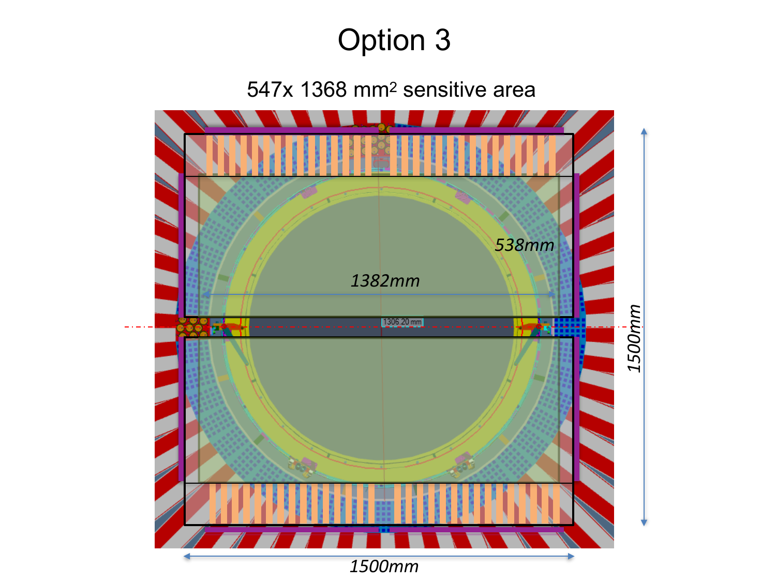# Option 3

547x 1368 mm2 sensitive area

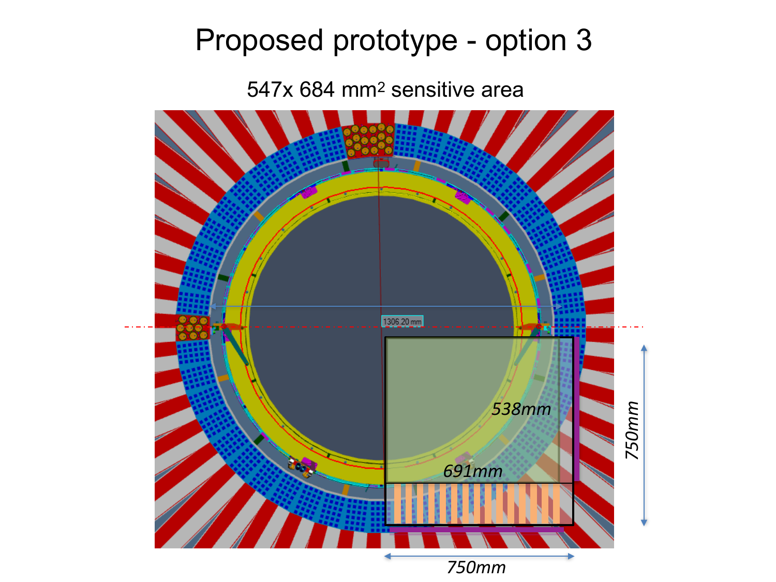# Proposed prototype - option 3

547x 684 mm2 sensitive area

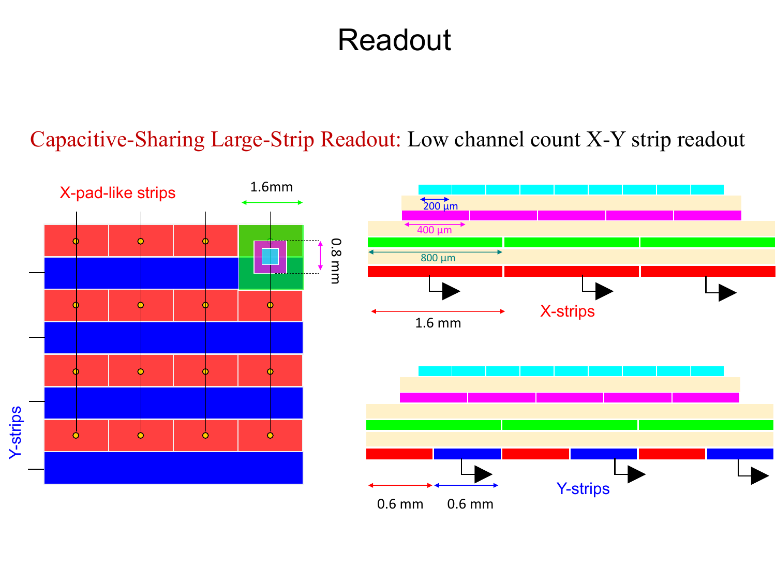## Readout

#### Capacitive-Sharing Large-Strip Readout: Low channel count X-Y strip readout